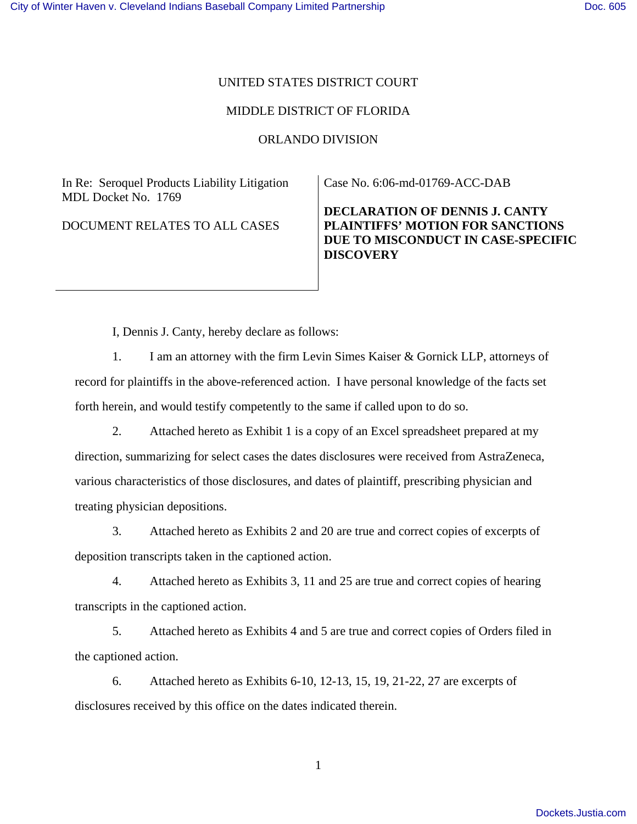## UNITED STATES DISTRICT COURT

## MIDDLE DISTRICT OF FLORIDA

## ORLANDO DIVISION

In Re: Seroquel Products Liability Litigation MDL Docket No. 1769

DOCUMENT RELATES TO ALL CASES

Case No. 6:06-md-01769-ACC-DAB

**DECLARATION OF DENNIS J. CANTY PLAINTIFFS' MOTION FOR SANCTIONS DUE TO MISCONDUCT IN CASE-SPECIFIC DISCOVERY** 

I, Dennis J. Canty, hereby declare as follows:

1. I am an attorney with the firm Levin Simes Kaiser & Gornick LLP, attorneys of record for plaintiffs in the above-referenced action. I have personal knowledge of the facts set forth herein, and would testify competently to the same if called upon to do so.

2. Attached hereto as Exhibit 1 is a copy of an Excel spreadsheet prepared at my direction, summarizing for select cases the dates disclosures were received from AstraZeneca, various characteristics of those disclosures, and dates of plaintiff, prescribing physician and treating physician depositions.

3. Attached hereto as Exhibits 2 and 20 are true and correct copies of excerpts of deposition transcripts taken in the captioned action.

4. Attached hereto as Exhibits 3, 11 and 25 are true and correct copies of hearing transcripts in the captioned action.

5. Attached hereto as Exhibits 4 and 5 are true and correct copies of Orders filed in the captioned action.

6. Attached hereto as Exhibits 6-10, 12-13, 15, 19, 21-22, 27 are excerpts of disclosures received by this office on the dates indicated therein.

1